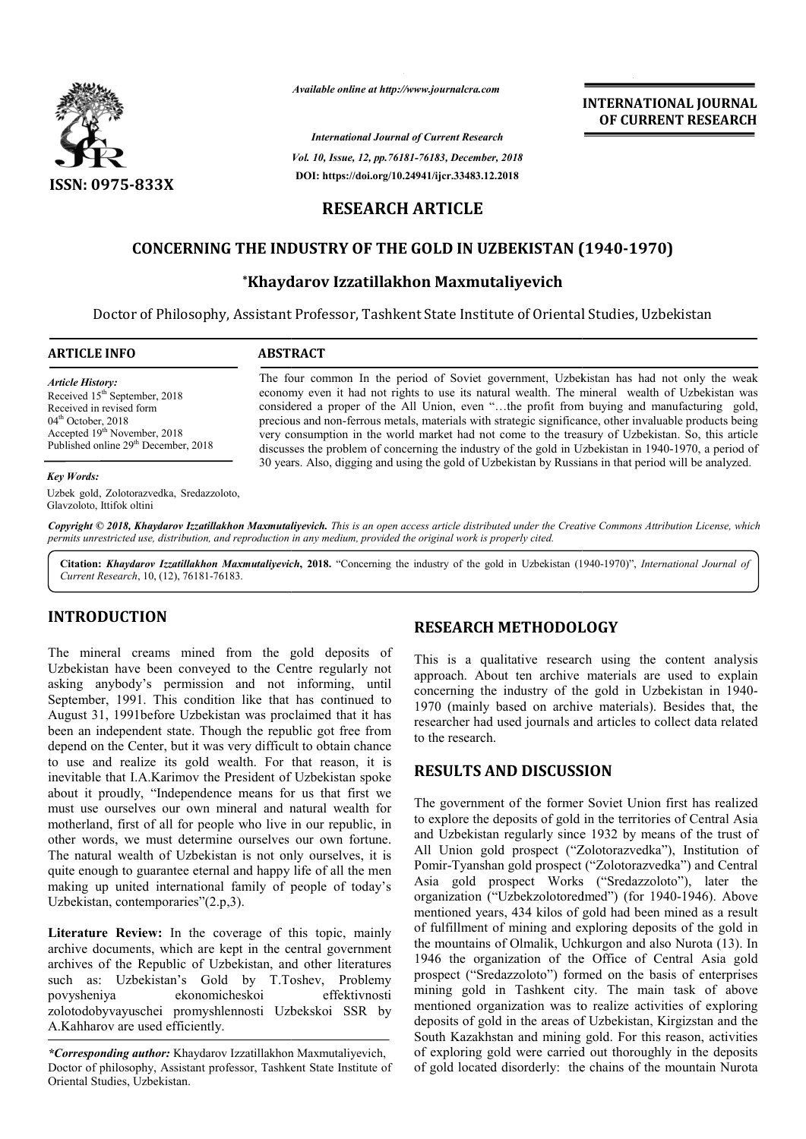

*Available online at http://www.journalcra.com*

*International Journal of Current Research Vol. 10, Issue, 12, pp.76181-76183, December, 2018* **DOI: https://doi.org/10.24941/ijcr.33483.12.2018**

**INTERNATIONAL JOURNAL OF CURRENT RESEARCH**

# **RESEARCH ARTICLE**

## **CONCERNING THE INDUSTRY OF THE GOLD IN UZBEKISTAN (1940 GOLD IN UZBEKISTAN (1940-1970)**

## **\*Khaydarov Izzatillakhon Maxmutaliyevich Khaydarov**

Doctor of Philosophy, Assistant Professor, Tashkent State Institute of Oriental Studies, Uzbekistan

| <b>ARTICLE INFO</b>                      | <b>ABSTRACT</b>                                                                                         |
|------------------------------------------|---------------------------------------------------------------------------------------------------------|
| <b>Article History:</b>                  | The four common In the period of Soviet government, Uzbekistan has had not only the weak                |
| Received $15th$ September, 2018          | economy even it had not rights to use its natural wealth. The mineral wealth of Uzbekistan was          |
| Received in revised form                 | considered a proper of the All Union, even "the profit from buying and manufacturing gold,              |
| $04th$ October, 2018                     | precious and non-ferrous metals, materials with strategic significance, other invaluable products being |
| Accepted 19 <sup>th</sup> November, 2018 | very consumption in the world market had not come to the treasury of Uzbekistan. So, this article       |

#### *Key Words:*

Uzbek gold, Zolotorazvedka, Sredazzoloto, Glavzoloto, Ittifok oltini

Published online 29<sup>th</sup> December, 2018

30 years. Also, digging and using the gold of Uzbekistan by Russians in that period will be analyzed.

Copyright © 2018, Khaydarov Izzatillakhon Maxmutaliyevich. This is an open access article distributed under the Creative Commons Attribution License, which permits unrestricted use, distribution, and reproduction in any medium, provided the original work is properly cited.

Citation: Khaydarov Izzatillakhon Maxmutaliyevich, 2018. "Concerning the industry of the gold in Uzbekistan (1940-1970)", International Journal of *Current Research*, 10, (12), 76181-76183.

## **INTRODUCTION**

The mineral creams mined from the gold deposits of Uzbekistan have been conveyed to the Centre regularly not asking anybody's permission and not informing, until September, 1991. This condition like that has continued to August 31, 1991before Uzbekistan was proclaimed that it has been an independent state. Though the republic got free from depend on the Center, but it was very difficult to obtain chance to use and realize its gold wealth. For that reason, it is inevitable that I.A.Karimov the President of Uzbekistan spoke about it proudly, "Independence means for us that first we must use ourselves our own mineral and natural wealth for motherland, first of all for people who live in our republic, in other words, we must determine ourselves our own fortune. The natural wealth of Uzbekistan is not only ourselves, it is quite enough to guarantee eternal and happy life of all the men making up united international family of people of today's Uzbekistan, contemporaries"(2.p,3). ns for us that first we<br>and natural wealth for<br>live in our republic, in<br>lelves our own fortune.<br>not only ourselves, it is

**Literature Review:** In the coverage of this topic, mainly archive documents, which are kept in the central government archives of the Republic of Uzbekistan, and other literatures such as: Uzbekistan's Gold by T.Toshev, Problemy povysheniya ekonomicheskoi effektivnosti zolotodobyvayuschei promyshlennosti Uzbekskoi SSR by A.Kahharov are used efficiently.

### **RESEARCH METHODOLOGY METHODOLOGY**

discusses the problem of concerning the industry of the gold in Uzbekistan in 1940-1970, a period of

This is a qualitative research using the content analysis approach. About ten archive materials are used to explain concerning the industry of the gold in Uzbekistan in 1940 1970 (mainly based on archive materials). Besides that, the researcher had used journals and articles to collect data related to the research. is a qualitative research using the content analysis<br>ach. About ten archive materials are used to explain<br>rning the industry of the gold in Uzbekistan in 1940-

### **RESULTS AND DISCUSSION**

The government of the former Soviet Union first has realized to explore the deposits of gold in the territories of Central Asia researcher had used journals and articles to collect data related<br>to the research.<br>**RESULTS AND DISCUSSION**<br>The government of the former Soviet Union first has realized<br>to explore the deposits of gold in the territories of All Union gold prospect ("Zolotorazvedka"), Institution of Pomir-Tyanshan gold prospect ("Zolotorazvedka") and Central Asia gold prospect Works ("Sredazzoloto"), later the organization ("Uzbekzolotoredmed") (for 1940-1946). Above mentioned years, 434 kilos of gold had been mined as a result of fulfillment of mining and exploring deposits of the gold in the mountains of Olmalik, Uchkurgon and also Nurota 1946 the organization of the Office of Central Asia gold prospect ("Sredazzoloto") formed on the basis of enterprises mining gold in Tashkent city. The main task of above mentioned organization was to realize activities of exploring deposits of gold in the areas of Uzbekistan, Kirgizstan and the South Kazakhstan and mining gold. For this reason, activities of exploring gold were carried out thoroughly in the deposits of gold located disorderly: the chains of the mountain Nurota All Union gold prospect ("Zolotorazvedka"), Institution of Pomir-Tyanshan gold prospect ("Zolotorazvedka") and Central Asia gold prospect Works ("Sredazzoloto"), later the organization ("Uzbekzolotoredmed") (for 1940-1946) ed years, 434 kilos of gold had been mined as a result<br>lment of mining and exploring deposits of the gold in<br>ntains of Olmalik, Uchkurgon and also Nurota (13). In ation of the Office of Central Asia gold zoloto") formed on the basis of enterprises Tashkent city. The main task of above zation was to realize activities of exploring it the areas of Uzbekistan, Kirgizstan and the and mi **INTERNATIONAL JOURNAL**<br> **INTERNATIONAL JOURNAL CHAINERY (DESTRATE)**<br> **INTERNATIONAL JOURNAL CHAINERY (DESTRATE)**<br> **IDENTS (EVALUATE ANTIFY)**<br> **IDENTS ASSESS (EVALUATE ANTIFY)**<br> **INTERNATION (1940-1970)**<br> **STAN INTERNATION** 

*<sup>\*</sup>Corresponding author:* Khaydarov Izzatillakhon Maxmutaliyevich, Doctor of philosophy, Assistant professor, Tashkent State Institute of Oriental Studies, Uzbekistan.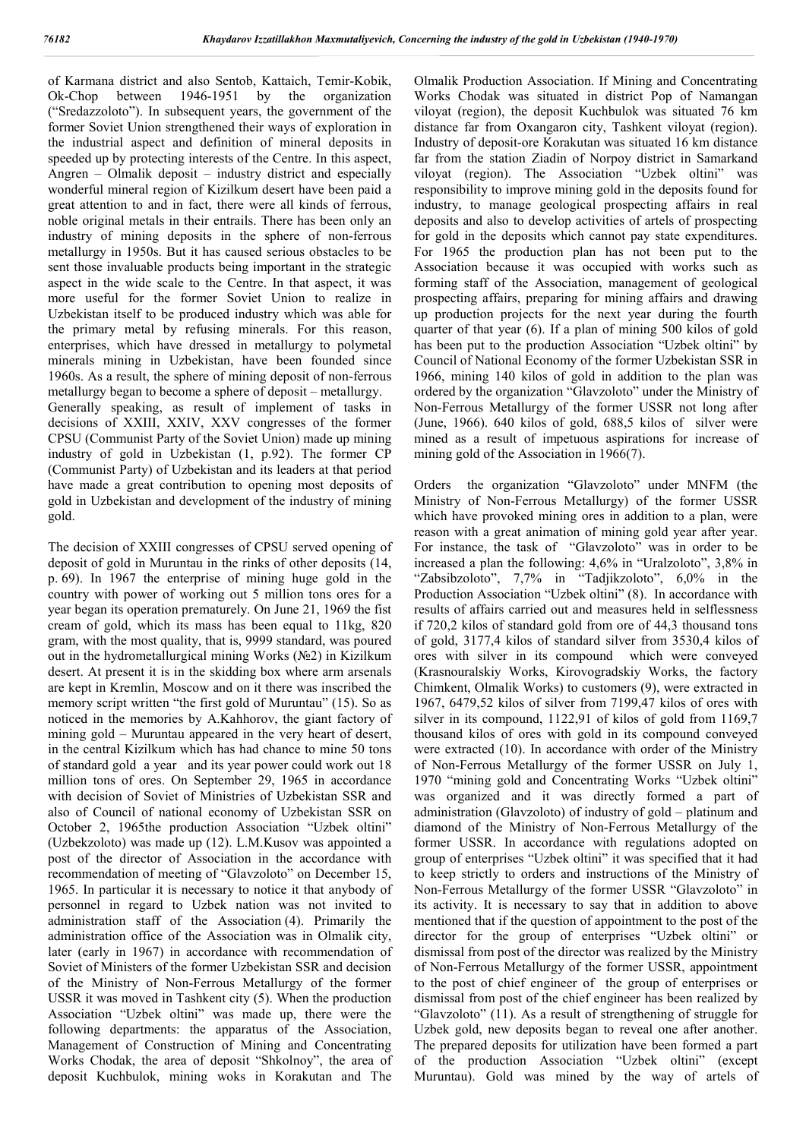of Karmana district and also Sentob, Kattaich, Temir-Kobik, Ok-Chop between 1946-1951 by the organization Ok-Chop between 1946-1951 by the organization ("Sredazzoloto"). In subsequent years, the government of the former Soviet Union strengthened their ways of exploration in the industrial aspect and definition of mineral deposits in speeded up by protecting interests of the Centre. In this aspect, Angren – Olmalik deposit – industry district and especially wonderful mineral region of Kizilkum desert have been paid a great attention to and in fact, there were all kinds of ferrous, noble original metals in their entrails. There has been only an industry of mining deposits in the sphere of non-ferrous metallurgy in 1950s. But it has caused serious obstacles to be sent those invaluable products being important in the strategic aspect in the wide scale to the Centre. In that aspect, it was more useful for the former Soviet Union to realize in Uzbekistan itself to be produced industry which was able for the primary metal by refusing minerals. For this reason, enterprises, which have dressed in metallurgy to polymetal minerals mining in Uzbekistan, have been founded since 1960s. As a result, the sphere of mining deposit of non-ferrous metallurgy began to become a sphere of deposit – metallurgy. Generally speaking, as result of implement of tasks in decisions of XXIII, XXIV, XXV congresses of the former CPSU (Communist Party of the Soviet Union) made up mining industry of gold in Uzbekistan (1, p.92). The former CP (Communist Party) of Uzbekistan and its leaders at that period have made a great contribution to opening most deposits of gold in Uzbekistan and development of the industry of mining gold.

The decision of XXIII congresses of CPSU served opening of deposit of gold in Muruntau in the rinks of other deposits (14, p. 69). In 1967 the enterprise of mining huge gold in the country with power of working out 5 million tons ores for a year began its operation prematurely. On June 21, 1969 the fist cream of gold, which its mass has been equal to 11kg, 820 gram, with the most quality, that is, 9999 standard, was poured out in the hydrometallurgical mining Works (№2) in Kizilkum desert. At present it is in the skidding box where arm arsenals are kept in Kremlin, Moscow and on it there was inscribed the memory script written "the first gold of Muruntau" (15). So as noticed in the memories by A.Kahhorov, the giant factory of mining gold – Muruntau appeared in the very heart of desert, in the central Kizilkum which has had chance to mine 50 tons of standard gold a year and its year power could work out 18 million tons of ores. On September 29, 1965 in accordance with decision of Soviet of Ministries of Uzbekistan SSR and also of Council of national economy of Uzbekistan SSR on October 2, 1965the production Association "Uzbek oltini" (Uzbekzoloto) was made up (12). L.M.Kusov was appointed a post of the director of Association in the accordance with recommendation of meeting of "Glavzoloto" on December 15, 1965. In particular it is necessary to notice it that anybody of personnel in regard to Uzbek nation was not invited to administration staff of the Association (4). Primarily the administration office of the Association was in Olmalik city, later (early in 1967) in accordance with recommendation of Soviet of Ministers of the former Uzbekistan SSR and decision of the Ministry of Non-Ferrous Metallurgy of the former USSR it was moved in Tashkent city (5). When the production Association "Uzbek oltini" was made up, there were the following departments: the apparatus of the Association, Management of Construction of Mining and Concentrating Works Chodak, the area of deposit "Shkolnoy", the area of deposit Kuchbulok, mining woks in Korakutan and The

Olmalik Production Association. If Mining and Concentrating Works Chodak was situated in district Pop of Namangan viloyat (region), the deposit Kuchbulok was situated 76 km distance far from Oxangaron city, Tashkent viloyat (region). Industry of deposit-ore Korakutan was situated 16 km distance far from the station Ziadin of Norpoy district in Samarkand viloyat (region). The Association "Uzbek oltini" was responsibility to improve mining gold in the deposits found for industry, to manage geological prospecting affairs in real deposits and also to develop activities of artels of prospecting for gold in the deposits which cannot pay state expenditures. For 1965 the production plan has not been put to the Association because it was occupied with works such as forming staff of the Association, management of geological prospecting affairs, preparing for mining affairs and drawing up production projects for the next year during the fourth quarter of that year (6). If a plan of mining 500 kilos of gold has been put to the production Association "Uzbek oltini" by Council of National Economy of the former Uzbekistan SSR in 1966, mining 140 kilos of gold in addition to the plan was ordered by the organization "Glavzoloto" under the Ministry of Non-Ferrous Metallurgy of the former USSR not long after (June, 1966). 640 kilos of gold, 688,5 kilos of silver were mined as a result of impetuous aspirations for increase of mining gold of the Association in 1966(7).

Orders the organization "Glavzoloto" under MNFM (the Ministry of Non-Ferrous Metallurgy) of the former USSR which have provoked mining ores in addition to a plan, were reason with a great animation of mining gold year after year. For instance, the task of "Glavzoloto" was in order to be increased a plan the following: 4,6% in "Uralzoloto", 3,8% in "Zabsibzoloto", 7,7% in "Tadjikzoloto", 6,0% in the Production Association "Uzbek oltini" (8). In accordance with results of affairs carried out and measures held in selflessness if 720,2 kilos of standard gold from ore of 44,3 thousand tons of gold, 3177,4 kilos of standard silver from 3530,4 kilos of ores with silver in its compound which were conveyed (Krasnouralskiy Works, Kirovogradskiy Works, the factory Chimkent, Olmalik Works) to customers (9), were extracted in 1967, 6479,52 kilos of silver from 7199,47 kilos of ores with silver in its compound, 1122,91 of kilos of gold from 1169,7 thousand kilos of ores with gold in its compound conveyed were extracted (10). In accordance with order of the Ministry of Non-Ferrous Metallurgy of the former USSR on July 1, 1970 "mining gold and Concentrating Works "Uzbek oltini" was organized and it was directly formed a part of administration (Glavzoloto) of industry of gold – platinum and diamond of the Ministry of Non-Ferrous Metallurgy of the former USSR. In accordance with regulations adopted on group of enterprises "Uzbek oltini" it was specified that it had to keep strictly to orders and instructions of the Ministry of Non-Ferrous Metallurgy of the former USSR "Glavzoloto" in its activity. It is necessary to say that in addition to above mentioned that if the question of appointment to the post of the director for the group of enterprises "Uzbek oltini" or dismissal from post of the director was realized by the Ministry of Non-Ferrous Metallurgy of the former USSR, appointment to the post of chief engineer of the group of enterprises or dismissal from post of the chief engineer has been realized by "Glavzoloto" (11). As a result of strengthening of struggle for Uzbek gold, new deposits began to reveal one after another. The prepared deposits for utilization have been formed a part of the production Association "Uzbek oltini" (except Muruntau). Gold was mined by the way of artels of